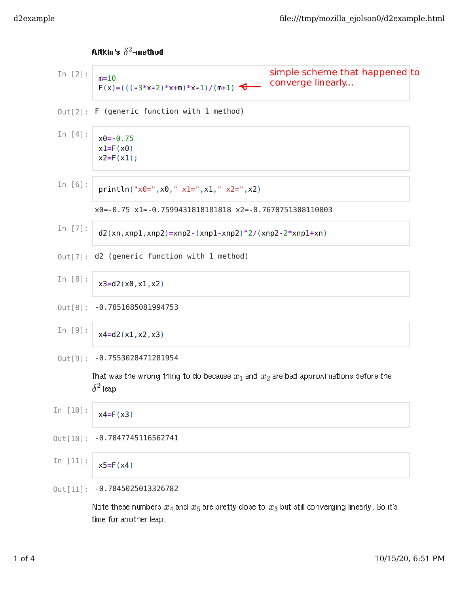Aitkin's  $\delta^2$ -method  $Out[2]$ : F (generic function with 1 method) x0=-0.75 x1=-0.7599431818181818 x2=-0.7670751308110003  $Out[7]$ : d2 (generic function with 1 method) 0ut[8]: -0.7851685081994753 0ut[9]: -0.7553028471281954 That was the wrong thing to do because  $x_1$  and  $x_2$  are bad approximations before the  $\delta^2$  leap Out[10]: -0.7847745116562741 0ut[11]: -0.7845025013326782 In [2]:  $m=10$  $F(x)=(((-3*x-2)*x+m)*x-1)/(m+1)$ In [4]:  $x0=-0.75$  $x1=F(x0)$  $x2=F(x1);$ In [6]: println(" $x0=$ ", $x0$ ,"  $x1=$ ", $x1$ ,"  $x2=$ ", $x2$ ) In [7]:  $d2(xn,xnp1,xnp2)=xnp2-(xnp1-xnp2)^2/(xnp2-2*xnp1+xn)$ In [8]: x3=d2(x0,x1,x2) In [9]: x4=d2(x1,x2,x3) In [10]:  $x4=F(x3)$ In [11]:  $x5=F(x4)$ simple scheme that happened to converge linearly...

Note these numbers  $x_4$  and  $x_5$  are pretty close to  $x_3$  but still converging linearly. So it's time for another leap.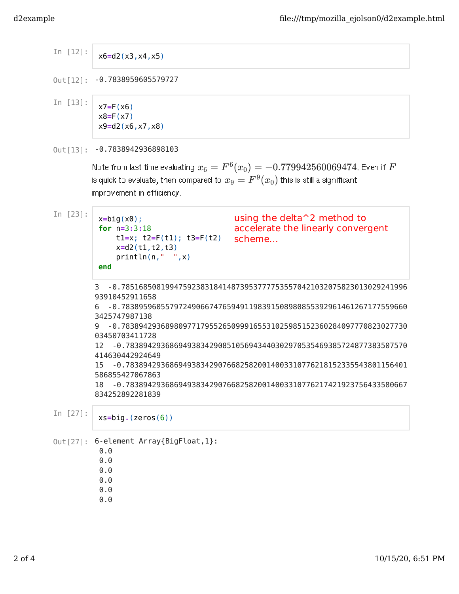## -0.7838959605579727 Out[12]: In [12]: x6=d2(x3,x4,x5) In [13]:  $x7=F(x6)$  $x8=F(x7)$ x9=d2(x6,x7,x8)

0ut[13]: -0.7838942936898103

Note from last time evaluating  $x_6=F^6(x_0)=-0.779942560069474$ . Even if  $F$ is quick to evaluate, then compared to  $x_9 = F^9(x_0)$  this is still a significant improvement in efficiency.

In [23]:

```
x=big(x0);for n=3:3:18
    t1=x; t2=F(t1); t3=F(t2)
    x=d2(t1,t2,t3)
    println(n," ",x)
end
```
using the delta<sup>2</sup> method to accelerate the linearly convergent scheme...

3 -0.78516850819947592383184148739537777535570421032075823013029241996 93910452911658

6 -0.78389596055797249066747659491198391508980855392961461267177559660 3425747987138

9 -0.78389429368980977179552650999165531025985152360284097770823027730 03450703411728

12 -0.7838942936869493834290851056943440302970535469385724877383507570 414630442924649

15 -0.7838942936869493834290766825820014003310776218152335543801156401 586855427067863

18 -0.7838942936869493834290766825820014003310776217421923756433580667 834252892281839

In [27]: xs=big.(zeros(6))

```
Out [27]: 6-element Array{BigFloat, 1}:
```
- 0.0
- 0.0
- 0.0
- 0.0
- 0.0
- 0.0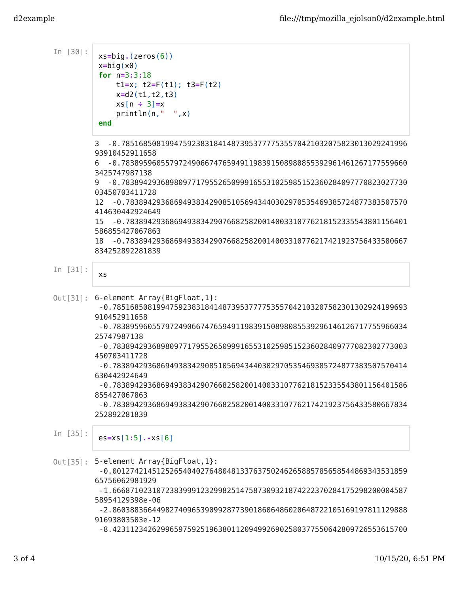| In $[30]$ : | $xs = big. (zeros(6))$<br>$x = big(x0)$<br>for $n=3:3:18$<br>$t1=x$ ; $t2=F(t1)$ ; $t3=F(t2)$<br>$x= d2(t1, t2, t3)$<br>$xs[n \div 3] = x$<br>println(n, " " , x)<br>end                                                                                                                                                                                                                                                                                                                                                                                                                          |
|-------------|---------------------------------------------------------------------------------------------------------------------------------------------------------------------------------------------------------------------------------------------------------------------------------------------------------------------------------------------------------------------------------------------------------------------------------------------------------------------------------------------------------------------------------------------------------------------------------------------------|
|             | -0.78516850819947592383184148739537777535570421032075823013029241996<br>3<br>93910452911658<br>-0.78389596055797249066747659491198391508980855392961461267177559660<br>6<br>3425747987138<br>-0.78389429368980977179552650999165531025985152360284097770823027730<br>9                                                                                                                                                                                                                                                                                                                            |
|             | 03450703411728<br>-0.7838942936869493834290851056943440302970535469385724877383507570<br>12<br>414630442924649<br>15<br>$-0.7838942936869493834290766825820014003310776218152335543801156401$<br>586855427067863<br>-0.7838942936869493834290766825820014003310776217421923756433580667<br>18<br>834252892281839                                                                                                                                                                                                                                                                                  |
| In $[31]$ : | XS                                                                                                                                                                                                                                                                                                                                                                                                                                                                                                                                                                                                |
|             | Out[31]: 6-element Array{BigFloat, 1}:<br>-0.7851685081994759238318414873953777753557042103207582301302924199693<br>910452911658<br>-0.7838959605579724906674765949119839150898085539296146126717755966034<br>25747987138<br>-0.7838942936898097717955265099916553102598515236028409777082302773003<br>450703411728<br>-0.7838942936869493834290851056943440302970535469385724877383507570414<br>630442924649<br>-0.7838942936869493834290766825820014003310776218152335543801156401586<br>855427067863<br>-0.7838942936869493834290766825820014003310776217421923756433580667834<br>252892281839 |
| In $[35]$ : | $ess = xs[1:5] - xs[6]$                                                                                                                                                                                                                                                                                                                                                                                                                                                                                                                                                                           |
| Out[35]:    | 5-element Array{BigFloat, 1}:<br>-0.0012742145125265404027648048133763750246265885785658544869343531859<br>65756062981929<br>-1.6668710231072383999123299825147587309321874222370284175298200004587<br>58954129398e-06<br>-2.8603883664498274096539099287739018606486020648722105169197811129888<br>91693803503e-12<br>-8.4231123426299659759251963801120949926902580377550642809726553615700                                                                                                                                                                                                     |